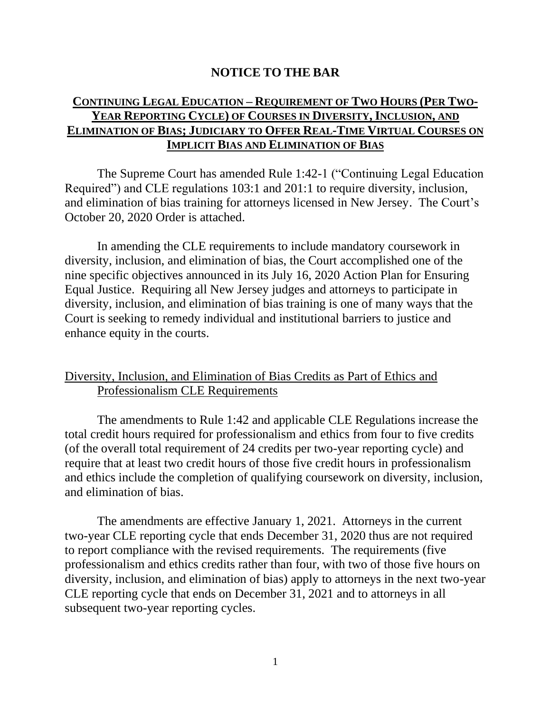## **NOTICE TO THE BAR**

## **CONTINUING LEGAL EDUCATION – REQUIREMENT OF TWO HOURS (PER TWO-YEAR REPORTING CYCLE) OF COURSES IN DIVERSITY,INCLUSION, AND ELIMINATION OF BIAS; JUDICIARY TO OFFER REAL-TIME VIRTUAL COURSES ON IMPLICIT BIAS AND ELIMINATION OF BIAS**

The Supreme Court has amended Rule 1:42-1 ("Continuing Legal Education Required") and CLE regulations 103:1 and 201:1 to require diversity, inclusion, and elimination of bias training for attorneys licensed in New Jersey. The Court's October 20, 2020 Order is attached.

In amending the CLE requirements to include mandatory coursework in diversity, inclusion, and elimination of bias, the Court accomplished one of the nine specific objectives announced in its July 16, 2020 Action Plan for Ensuring Equal Justice. Requiring all New Jersey judges and attorneys to participate in diversity, inclusion, and elimination of bias training is one of many ways that the Court is seeking to remedy individual and institutional barriers to justice and enhance equity in the courts.

## Diversity, Inclusion, and Elimination of Bias Credits as Part of Ethics and Professionalism CLE Requirements

The amendments to Rule 1:42 and applicable CLE Regulations increase the total credit hours required for professionalism and ethics from four to five credits (of the overall total requirement of 24 credits per two-year reporting cycle) and require that at least two credit hours of those five credit hours in professionalism and ethics include the completion of qualifying coursework on diversity, inclusion, and elimination of bias.

The amendments are effective January 1, 2021. Attorneys in the current two-year CLE reporting cycle that ends December 31, 2020 thus are not required to report compliance with the revised requirements. The requirements (five professionalism and ethics credits rather than four, with two of those five hours on diversity, inclusion, and elimination of bias) apply to attorneys in the next two-year CLE reporting cycle that ends on December 31, 2021 and to attorneys in all subsequent two-year reporting cycles.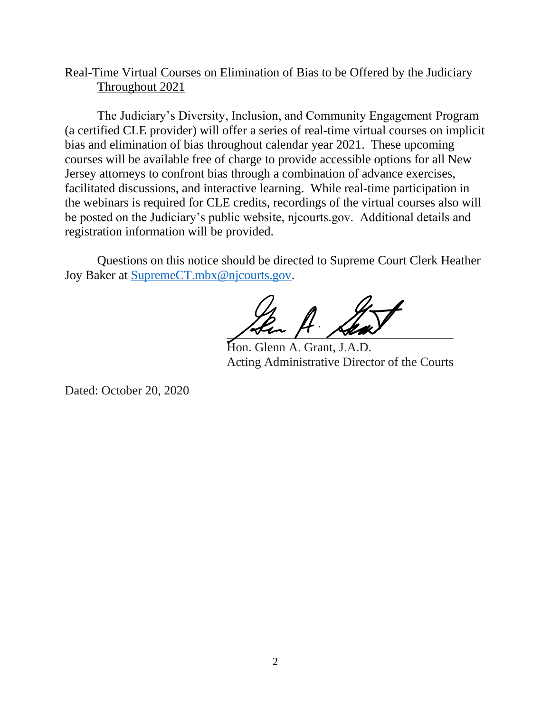# Real-Time Virtual Courses on Elimination of Bias to be Offered by the Judiciary Throughout 2021

The Judiciary's Diversity, Inclusion, and Community Engagement Program (a certified CLE provider) will offer a series of real-time virtual courses on implicit bias and elimination of bias throughout calendar year 2021. These upcoming courses will be available free of charge to provide accessible options for all New Jersey attorneys to confront bias through a combination of advance exercises, facilitated discussions, and interactive learning. While real-time participation in the webinars is required for CLE credits, recordings of the virtual courses also will be posted on the Judiciary's public website, njcourts.gov. Additional details and registration information will be provided.

Questions on this notice should be directed to Supreme Court Clerk Heather Joy Baker at [SupremeCT.mbx@njcourts.gov.](mailto:SupremeCT.mbx@njcourts.gov)

 $\frac{1}{\sqrt{2\pi}}$ Sen A. Seat

Hon. Glenn A. Grant, J.A.D. Acting Administrative Director of the Courts

Dated: October 20, 2020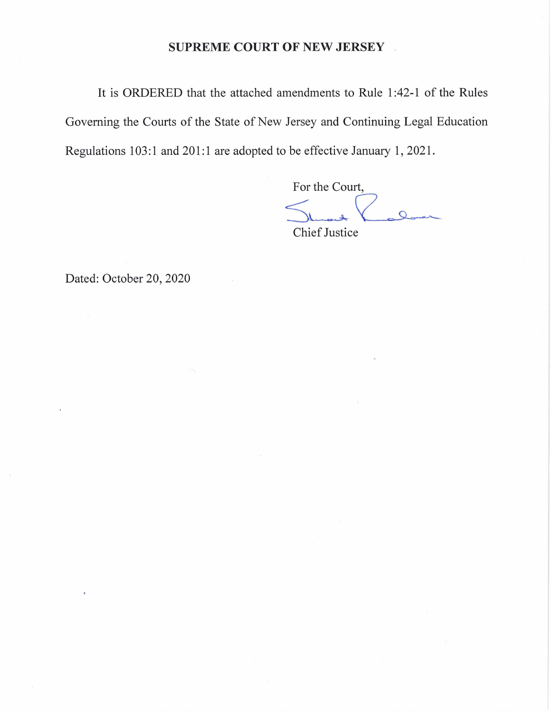#### **SUPREME COURT OF NEW JERSEY** .

It is ORDERED that the attached amendments to Rule 1 :42-1 of the Rules Governing the Courts of the State of New Jersey and Continuing Legal Education Regulations 103:1 and 201:1 are adopted to be effective January 1, 2021.

For the Court, For the Court,<br>
Sure<br>
Chief Justice

Dated: October 20, 2020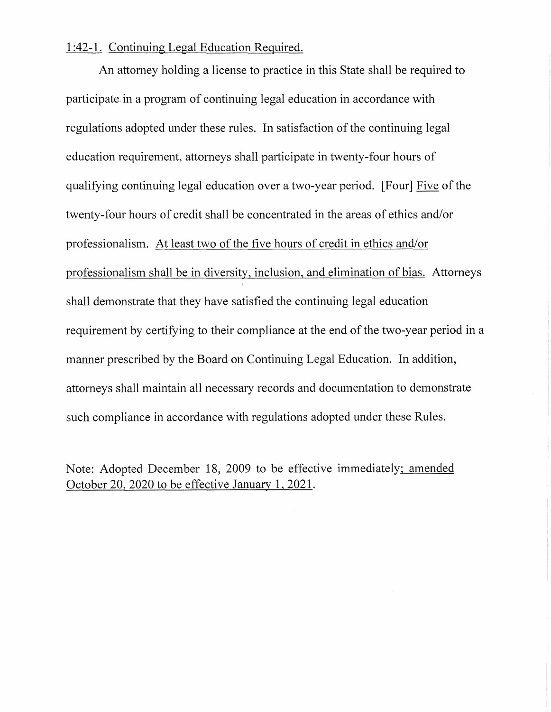### 1 :42-1. Continuing Legal Education Required.

An attorney holding a license to practice in this State shall be required to participate. in a program of continuing legal education in accordance with regulations adopted under these rules. In satisfaction of the continuing legal education requirement, attorneys shall participate in twenty-four hours of qualifying continuing legal education over a two-year period. [Four] Five of the twenty-four hours of credit shall be concentrated in the areas of ethics and/or professionalism. At least two of the five hours of credit in ethics and/or professionalism shall be in diversity, inclusion, and elimination of bias. Attorneys shall demonstrate that they have satisfied the continuing legal education requirement by certifying to their compliance at the end of the two-year period in a manner prescribed by the Board on Continuing Legal Education. In addition, attorneys shall maintain all necessary records and documentation to demonstrate such compliance in accordance with regulations adopted under these Rules.

Note: Adopted December 18, 2009 to be effective immediately; amended October 20, 2020 to be effective January 1, 2021.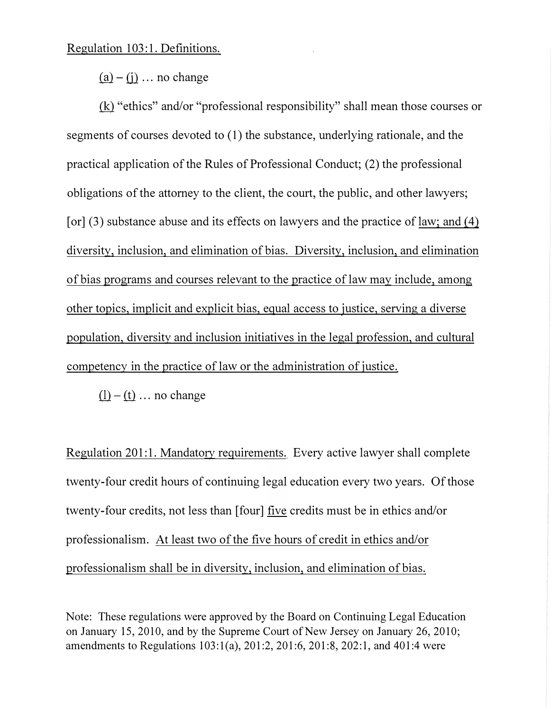Regulation 103:1. Definitions.

 $(a) - (i)$  ... no change

(kl "ethics" and/or "professional responsibility" shall mean those courses or segments of courses devoted to (1) the substance, underlying rationale, and the practical application of the Rules of Professional Conduct; (2) the professional obligations of the attorney to the client, the court, the public, and other lawyers; [or]  $(3)$  substance abuse and its effects on lawyers and the practice of law; and  $(4)$ diversity, inclusion, and elimination of bias. Diversity, inclusion, and elimination of bias programs and courses relevant to the practice of law may include, among other topics, implicit and explicit bias, equal access to justice, serving a diverse population, diversity and inclusion initiatives in the legal profession, and cultural competency in the practice of law or the administration of justice.

 $(l) - (t) \dots$  no change

Regulation 201:1. Mandatory requirements. Every active lawyer shall complete twenty-four credit hours of continuing legal education every two years. Of those twenty-four credits, not less than [four] five credits must be in ethics and/or professionalism. At least two of the five hours of credit in ethics and/or professionalism shall be in diversity, inclusion, and elimination of bias.

Note: These regulations were approved by the Board on Continuing Legal Education on January 15, 2010, and by the Supreme Court of New Jersey on January 26, 2010; amendments to Regulations 103:l(a), 201:2, 201:6, 201:8, 202:1, and 401:4 were